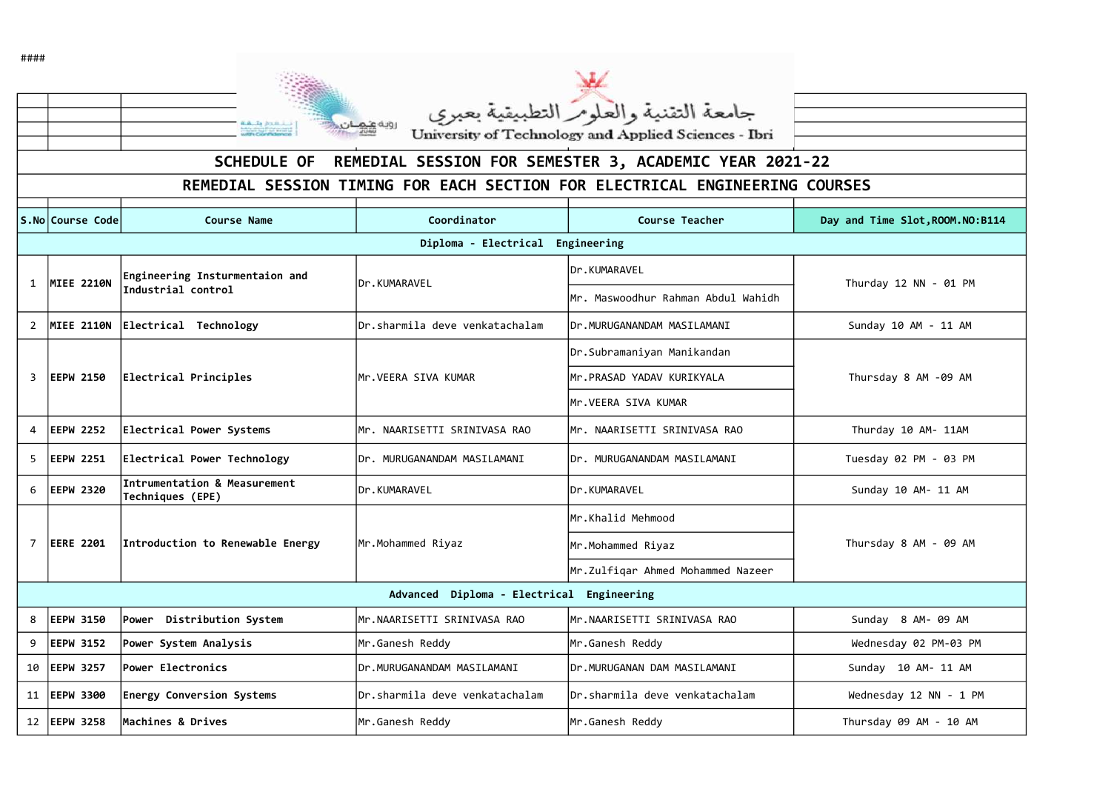| #### |                   |                                                      |                                |                                                                             |                           |
|------|-------------------|------------------------------------------------------|--------------------------------|-----------------------------------------------------------------------------|---------------------------|
|      |                   | سنشدخ بتنها<br>with Confidence                       | روية عنهنان                    | جامعة التقنية والعلومر التطبيقية بعبري                                      |                           |
|      |                   |                                                      |                                | University of Technology and Applied Sciences - Ibri                        |                           |
|      |                   | <b>SCHEDULE OF</b>                                   |                                | REMEDIAL SESSION FOR SEMESTER 3, ACADEMIC YEAR 2021-22                      |                           |
|      |                   |                                                      |                                | REMEDIAL SESSION TIMING FOR EACH SECTION FOR ELECTRICAL ENGINEERING COURSES |                           |
|      | S.No Course Code  | <b>Course Name</b>                                   | Coordinator                    | <b>Course Teacher</b>                                                       | Day and Time Slot, ROOM.N |
|      |                   |                                                      | Diploma - Electrical           | Engineering                                                                 |                           |
|      | MIEE 2210N        | Engineering Insturmentaion and<br>Industrial control | Dr.KUMARAVEL                   | Dr.KUMARAVEL                                                                | Thurday 12 NN - 01 P      |
|      |                   |                                                      |                                | Mr. Maswoodhur Rahman Abdul Wahidh                                          |                           |
|      | <b>MIEE 2110N</b> | Electrical Technology                                | Dr.sharmila deve venkatachalam | IDr.MURUGANANDAM MASILAMANI                                                 | Sunday 10 AM - 11 AM      |
|      | 3 EEPW 2150       | Electrical Principles                                | Mr.VEERA SIVA KUMAR            | Dr.Subramaniyan Manikandan                                                  | Thursday 8 AM -09 AM      |
|      |                   |                                                      |                                | Mr.PRASAD YADAV KURIKYALA                                                   |                           |
|      |                   |                                                      |                                | Mr.VEERA SIVA KUMAR                                                         |                           |
| 4    | <b>EEPW 2252</b>  | Electrical Power Systems                             | Mr. NAARISETTI SRINIVASA RAO   | Mr. NAARISETTI SRINIVASA RAO                                                | Thurday 10 AM- 11AM       |
|      | <b>EEPW 2251</b>  | Electrical Power Technology                          | Dr. MURUGANANDAM MASILAMANI    | IDr. MURUGANANDAM MASILAMANI                                                | Tuesday 02 PM - 03 P      |
| 6    | <b>EEPW 2320</b>  | Intrumentation & Measurement<br>Techniques (EPE)     | Dr.KUMARAVEL                   | Dr.KUMARAVEL                                                                | Sunday 10 AM- 11 AM       |
|      | <b>EERE 2201</b>  | Introduction to Renewable Energy                     | Mr.Mohammed Riyaz              | Mr.Khalid Mehmood                                                           | Thursday 8 AM - 09 A      |
|      |                   |                                                      |                                | Mr.Mohammed Riyaz                                                           |                           |
|      |                   |                                                      |                                | Mr.Zulfiqar Ahmed Mohammed Nazeer                                           |                           |
|      |                   |                                                      | Advanced Diploma - Electrical  | Engineering                                                                 |                           |
| 8    | <b>EEPW 3150</b>  | Distribution System<br><b>Power</b>                  | Mr.NAARISETTI SRINIVASA RAO    | Mr.NAARISETTI SRINIVASA RAO                                                 | Sunday 8 AM- 09 AM        |
| 9    | <b>EEPW 3152</b>  | Power System Analysis                                | Mr.Ganesh Reddy                | Mr.Ganesh Reddy                                                             | Wednesday 02 PM-03        |
|      | 10 EEPW 3257      | Power Electronics                                    | Dr.MURUGANANDAM MASILAMANI     | Dr.MURUGANAN DAM MASILAMANI                                                 | Sunday 10 AM- 11 AM       |
|      | 11   EEPW 3300    | <b>Energy Conversion Systems</b>                     | Dr.sharmila deve venkatachalam | Dr.sharmila deve venkatachalam                                              | Wednesday 12 NN - 1       |
|      | 12   EEPW 3258    | Machines & Drives                                    | Mr.Ganesh Reddy                | Mr.Ganesh Reddy                                                             | Thursday 09 AM - 10 A     |

and Time Slot, ROOM.NO:B114 Sunday 10 AM - 11 AM Thurday 10 AM- 11AM Tuesday 02 PM - 03 PM Sunday 8 AM- 09 AM Wednesday 02 PM-03 PM Sunday 10 AM- 11 AM Wednesday 12 NN - 1 PM Thursday 09 AM - 10 AM Thursday 8 AM - 09 AM Thursday 8 AM -09 AM Thurday 12 NN -  $\theta$ 1 PM